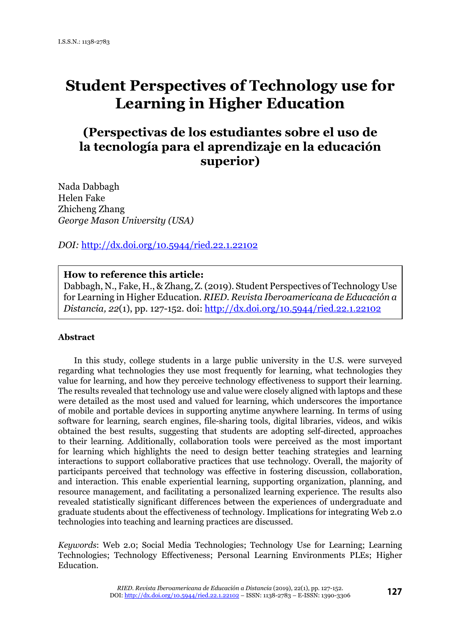# **Student Perspectives of Technology use for Learning in Higher Education**

## **(Perspectivas de los estudiantes sobre el uso de la tecnología para el aprendizaje en la educación superior)**

Nada Dabbagh Helen Fake Zhicheng Zhang *George Mason University (USA)*

*DOI:* <http://dx.doi.org/10.5944/ried.22.1.22102>

## **How to reference this article:**

Dabbagh, N., Fake, H., & Zhang, Z. (2019). Student Perspectives of Technology Use for Learning in Higher Education*. RIED. Revista Iberoamericana de Educación a Distancia, 22*(1), pp. 127-152. doi:<http://dx.doi.org/10.5944/ried.22.1.22102>

#### **Abstract**

In this study, college students in a large public university in the U.S. were surveyed regarding what technologies they use most frequently for learning, what technologies they value for learning, and how they perceive technology effectiveness to support their learning. The results revealed that technology use and value were closely aligned with laptops and these were detailed as the most used and valued for learning, which underscores the importance of mobile and portable devices in supporting anytime anywhere learning. In terms of using software for learning, search engines, file-sharing tools, digital libraries, videos, and wikis obtained the best results, suggesting that students are adopting self-directed, approaches to their learning. Additionally, collaboration tools were perceived as the most important for learning which highlights the need to design better teaching strategies and learning interactions to support collaborative practices that use technology. Overall, the majority of participants perceived that technology was effective in fostering discussion, collaboration, and interaction. This enable experiential learning, supporting organization, planning, and resource management, and facilitating a personalized learning experience. The results also revealed statistically significant differences between the experiences of undergraduate and graduate students about the effectiveness of technology. Implications for integrating Web 2.0 technologies into teaching and learning practices are discussed.

*Keywords*: Web 2.0; Social Media Technologies; Technology Use for Learning; Learning Technologies; Technology Effectiveness; Personal Learning Environments PLEs; Higher Education.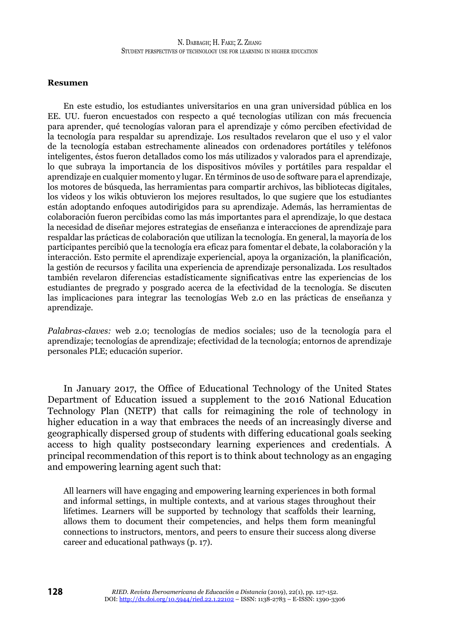#### **Resumen**

En este estudio, los estudiantes universitarios en una gran universidad pública en los EE. UU. fueron encuestados con respecto a qué tecnologías utilizan con más frecuencia para aprender, qué tecnologías valoran para el aprendizaje y cómo perciben efectividad de la tecnología para respaldar su aprendizaje. Los resultados revelaron que el uso y el valor de la tecnología estaban estrechamente alineados con ordenadores portátiles y teléfonos inteligentes, éstos fueron detallados como los más utilizados y valorados para el aprendizaje, lo que subraya la importancia de los dispositivos móviles y portátiles para respaldar el aprendizaje en cualquier momento y lugar. En términos de uso de software para el aprendizaje, los motores de búsqueda, las herramientas para compartir archivos, las bibliotecas digitales, los videos y los wikis obtuvieron los mejores resultados, lo que sugiere que los estudiantes están adoptando enfoques autodirigidos para su aprendizaje. Además, las herramientas de colaboración fueron percibidas como las más importantes para el aprendizaje, lo que destaca la necesidad de diseñar mejores estrategias de enseñanza e interacciones de aprendizaje para respaldar las prácticas de colaboración que utilizan la tecnología. En general, la mayoría de los participantes percibió que la tecnología era eficaz para fomentar el debate, la colaboración y la interacción. Esto permite el aprendizaje experiencial, apoya la organización, la planificación, la gestión de recursos y facilita una experiencia de aprendizaje personalizada. Los resultados también revelaron diferencias estadísticamente significativas entre las experiencias de los estudiantes de pregrado y posgrado acerca de la efectividad de la tecnología. Se discuten las implicaciones para integrar las tecnologías Web 2.0 en las prácticas de enseñanza y aprendizaje.

*Palabras-claves:* web 2.0; tecnologías de medios sociales; uso de la tecnología para el aprendizaje; tecnologías de aprendizaje; efectividad de la tecnología; entornos de aprendizaje personales PLE; educación superior.

In January 2017, the Office of Educational Technology of the United States Department of Education issued a supplement to the 2016 National Education Technology Plan (NETP) that calls for reimagining the role of technology in higher education in a way that embraces the needs of an increasingly diverse and geographically dispersed group of students with differing educational goals seeking access to high quality postsecondary learning experiences and credentials. A principal recommendation of this report is to think about technology as an engaging and empowering learning agent such that:

All learners will have engaging and empowering learning experiences in both formal and informal settings, in multiple contexts, and at various stages throughout their lifetimes. Learners will be supported by technology that scaffolds their learning, allows them to document their competencies, and helps them form meaningful connections to instructors, mentors, and peers to ensure their success along diverse career and educational pathways (p. 17).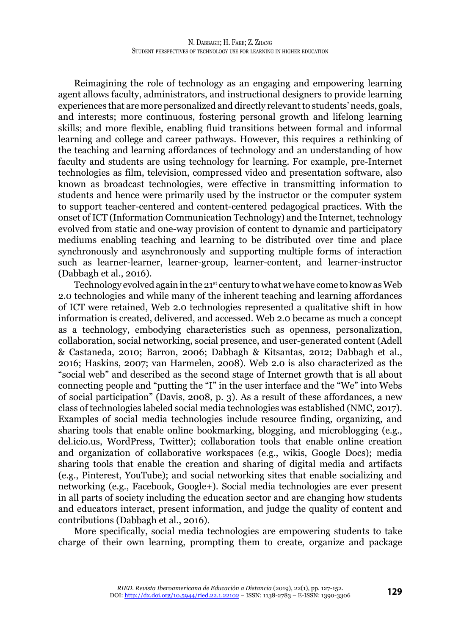Reimagining the role of technology as an engaging and empowering learning agent allows faculty, administrators, and instructional designers to provide learning experiences that are more personalized and directly relevant to students' needs, goals, and interests; more continuous, fostering personal growth and lifelong learning skills; and more flexible, enabling fluid transitions between formal and informal learning and college and career pathways. However, this requires a rethinking of the teaching and learning affordances of technology and an understanding of how faculty and students are using technology for learning. For example, pre-Internet technologies as film, television, compressed video and presentation software, also known as broadcast technologies, were effective in transmitting information to students and hence were primarily used by the instructor or the computer system to support teacher-centered and content-centered pedagogical practices. With the onset of ICT (Information Communication Technology) and the Internet, technology evolved from static and one-way provision of content to dynamic and participatory mediums enabling teaching and learning to be distributed over time and place synchronously and asynchronously and supporting multiple forms of interaction such as learner-learner, learner-group, learner-content, and learner-instructor (Dabbagh et al., 2016).

Technology evolved again in the  $21^{st}$  century to what we have come to know as Web 2.0 technologies and while many of the inherent teaching and learning affordances of ICT were retained, Web 2.0 technologies represented a qualitative shift in how information is created, delivered, and accessed. Web 2.0 became as much a concept as a technology, embodying characteristics such as openness, personalization, collaboration, social networking, social presence, and user-generated content (Adell & Castaneda, 2010; Barron, 2006; Dabbagh & Kitsantas, 2012; Dabbagh et al., 2016; Haskins, 2007; van Harmelen, 2008). Web 2.0 is also characterized as the "social web" and described as the second stage of Internet growth that is all about connecting people and "putting the "I" in the user interface and the "We" into Webs of social participation" (Davis, 2008, p. 3). As a result of these affordances, a new class of technologies labeled social media technologies was established (NMC, 2017). Examples of social media technologies include resource finding, organizing, and sharing tools that enable online bookmarking, blogging, and microblogging (e.g., del.icio.us, WordPress, Twitter); collaboration tools that enable online creation and organization of collaborative workspaces (e.g., wikis, Google Docs); media sharing tools that enable the creation and sharing of digital media and artifacts (e.g., Pinterest, YouTube); and social networking sites that enable socializing and networking (e.g., Facebook, Google+). Social media technologies are ever present in all parts of society including the education sector and are changing how students and educators interact, present information, and judge the quality of content and contributions (Dabbagh et al., 2016).

More specifically, social media technologies are empowering students to take charge of their own learning, prompting them to create, organize and package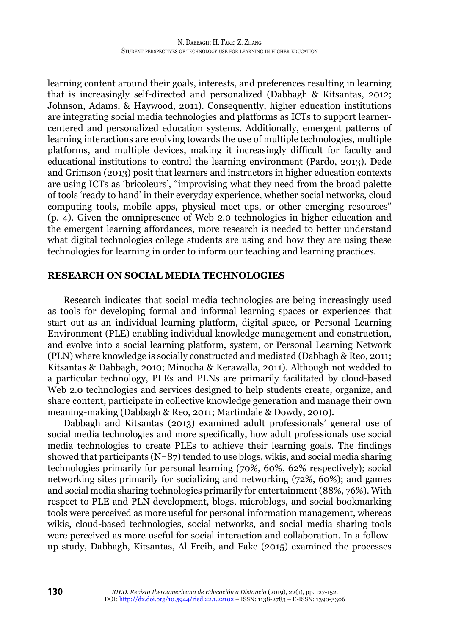learning content around their goals, interests, and preferences resulting in learning that is increasingly self-directed and personalized (Dabbagh & Kitsantas, 2012; Johnson, Adams, & Haywood, 2011). Consequently, higher education institutions are integrating social media technologies and platforms as ICTs to support learnercentered and personalized education systems. Additionally, emergent patterns of learning interactions are evolving towards the use of multiple technologies, multiple platforms, and multiple devices, making it increasingly difficult for faculty and educational institutions to control the learning environment (Pardo, 2013). Dede and Grimson (2013) posit that learners and instructors in higher education contexts are using ICTs as 'bricoleurs', "improvising what they need from the broad palette of tools 'ready to hand' in their everyday experience, whether social networks, cloud computing tools, mobile apps, physical meet-ups, or other emerging resources" (p. 4). Given the omnipresence of Web 2.0 technologies in higher education and the emergent learning affordances, more research is needed to better understand what digital technologies college students are using and how they are using these technologies for learning in order to inform our teaching and learning practices.

#### **RESEARCH ON SOCIAL MEDIA TECHNOLOGIES**

Research indicates that social media technologies are being increasingly used as tools for developing formal and informal learning spaces or experiences that start out as an individual learning platform, digital space, or Personal Learning Environment (PLE) enabling individual knowledge management and construction, and evolve into a social learning platform, system, or Personal Learning Network (PLN) where knowledge is socially constructed and mediated (Dabbagh & Reo, 2011; Kitsantas & Dabbagh, 2010; Minocha & Kerawalla, 2011). Although not wedded to a particular technology, PLEs and PLNs are primarily facilitated by cloud-based Web 2.0 technologies and services designed to help students create, organize, and share content, participate in collective knowledge generation and manage their own meaning-making (Dabbagh & Reo, 2011; Martindale & Dowdy, 2010).

Dabbagh and Kitsantas (2013) examined adult professionals' general use of social media technologies and more specifically, how adult professionals use social media technologies to create PLEs to achieve their learning goals. The findings showed that participants (N=87) tended to use blogs, wikis, and social media sharing technologies primarily for personal learning (70%, 60%, 62% respectively); social networking sites primarily for socializing and networking (72%, 60%); and games and social media sharing technologies primarily for entertainment (88%, 76%). With respect to PLE and PLN development, blogs, microblogs, and social bookmarking tools were perceived as more useful for personal information management, whereas wikis, cloud-based technologies, social networks, and social media sharing tools were perceived as more useful for social interaction and collaboration. In a followup study, Dabbagh, Kitsantas, Al-Freih, and Fake (2015) examined the processes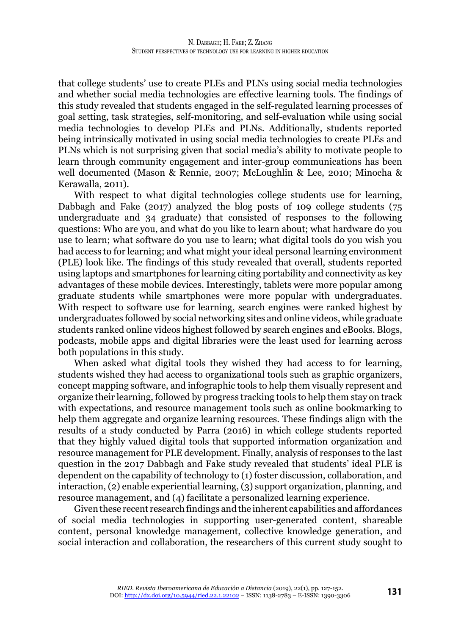that college students' use to create PLEs and PLNs using social media technologies and whether social media technologies are effective learning tools. The findings of this study revealed that students engaged in the self-regulated learning processes of goal setting, task strategies, self-monitoring, and self-evaluation while using social media technologies to develop PLEs and PLNs. Additionally, students reported being intrinsically motivated in using social media technologies to create PLEs and PLNs which is not surprising given that social media's ability to motivate people to learn through community engagement and inter-group communications has been well documented (Mason & Rennie, 2007; McLoughlin & Lee, 2010; Minocha & Kerawalla, 2011).

With respect to what digital technologies college students use for learning, Dabbagh and Fake (2017) analyzed the blog posts of 109 college students (75 undergraduate and 34 graduate) that consisted of responses to the following questions: Who are you, and what do you like to learn about; what hardware do you use to learn; what software do you use to learn; what digital tools do you wish you had access to for learning; and what might your ideal personal learning environment (PLE) look like. The findings of this study revealed that overall, students reported using laptops and smartphones for learning citing portability and connectivity as key advantages of these mobile devices. Interestingly, tablets were more popular among graduate students while smartphones were more popular with undergraduates. With respect to software use for learning, search engines were ranked highest by undergraduates followed by social networking sites and online videos, while graduate students ranked online videos highest followed by search engines and eBooks. Blogs, podcasts, mobile apps and digital libraries were the least used for learning across both populations in this study.

When asked what digital tools they wished they had access to for learning, students wished they had access to organizational tools such as graphic organizers, concept mapping software, and infographic tools to help them visually represent and organize their learning, followed by progress tracking tools to help them stay on track with expectations, and resource management tools such as online bookmarking to help them aggregate and organize learning resources. These findings align with the results of a study conducted by Parra (2016) in which college students reported that they highly valued digital tools that supported information organization and resource management for PLE development. Finally, analysis of responses to the last question in the 2017 Dabbagh and Fake study revealed that students' ideal PLE is dependent on the capability of technology to (1) foster discussion, collaboration, and interaction, (2) enable experiential learning, (3) support organization, planning, and resource management, and (4) facilitate a personalized learning experience.

Given these recent research findings and the inherent capabilities and affordances of social media technologies in supporting user-generated content, shareable content, personal knowledge management, collective knowledge generation, and social interaction and collaboration, the researchers of this current study sought to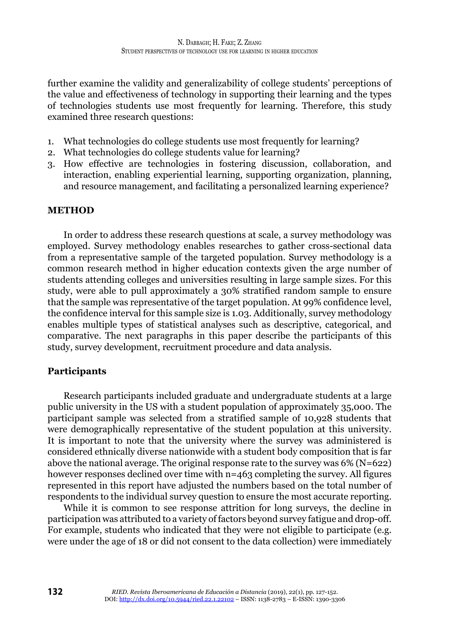further examine the validity and generalizability of college students' perceptions of the value and effectiveness of technology in supporting their learning and the types of technologies students use most frequently for learning. Therefore, this study examined three research questions:

- 1. What technologies do college students use most frequently for learning?
- 2. What technologies do college students value for learning?
- 3. How effective are technologies in fostering discussion, collaboration, and interaction, enabling experiential learning, supporting organization, planning, and resource management, and facilitating a personalized learning experience?

#### **METHOD**

In order to address these research questions at scale, a survey methodology was employed. Survey methodology enables researches to gather cross-sectional data from a representative sample of the targeted population. Survey methodology is a common research method in higher education contexts given the arge number of students attending colleges and universities resulting in large sample sizes. For this study, were able to pull approximately a 30% stratified random sample to ensure that the sample was representative of the target population. At 99% confidence level, the confidence interval for this sample size is 1.03. Additionally, survey methodology enables multiple types of statistical analyses such as descriptive, categorical, and comparative. The next paragraphs in this paper describe the participants of this study, survey development, recruitment procedure and data analysis.

#### **Participants**

Research participants included graduate and undergraduate students at a large public university in the US with a student population of approximately 35,000. The participant sample was selected from a stratified sample of 10,928 students that were demographically representative of the student population at this university. It is important to note that the university where the survey was administered is considered ethnically diverse nationwide with a student body composition that is far above the national average. The original response rate to the survey was  $6\%$  (N=622) however responses declined over time with n=463 completing the survey. All figures represented in this report have adjusted the numbers based on the total number of respondents to the individual survey question to ensure the most accurate reporting.

While it is common to see response attrition for long surveys, the decline in participation was attributed to a variety of factors beyond survey fatigue and drop-off. For example, students who indicated that they were not eligible to participate (e.g. were under the age of 18 or did not consent to the data collection) were immediately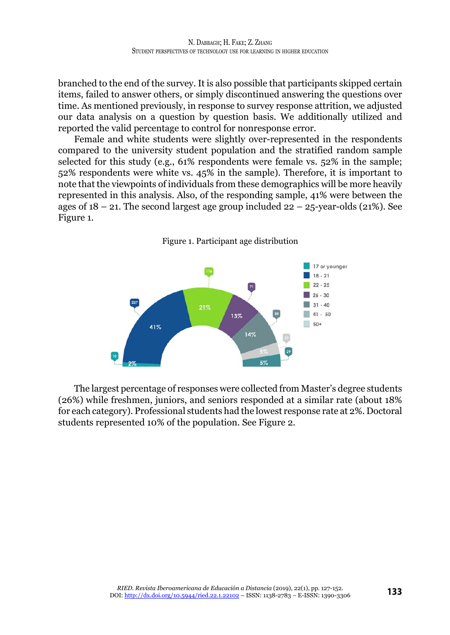branched to the end of the survey. It is also possible that participants skipped certain items, failed to answer others, or simply discontinued answering the questions over time. As mentioned previously, in response to survey response attrition, we adjusted our data analysis on a question by question basis. We additionally utilized and reported the valid percentage to control for nonresponse error.

Female and white students were slightly over-represented in the respondents compared to the university student population and the stratified random sample selected for this study (e.g., 61% respondents were female vs. 52% in the sample; 52% respondents were white vs. 45% in the sample). Therefore, it is important to note that the viewpoints of individuals from these demographics will be more heavily represented in this analysis. Also, of the responding sample, 41% were between the ages of  $18 - 21$ . The second largest age group included  $22 - 25$ -year-olds (21%). See Figure 1.

Figure 1. Participant age distribution



The largest percentage of responses were collected from Master's degree students (26%) while freshmen, juniors, and seniors responded at a similar rate (about 18% for each category). Professional students had the lowest response rate at 2%. Doctoral students represented 10% of the population. See Figure 2.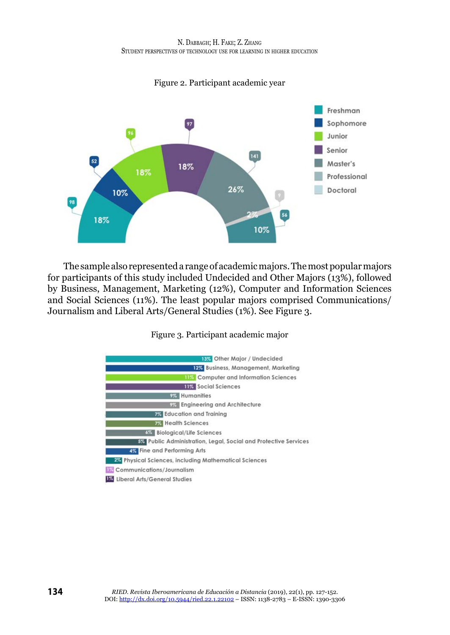

#### Figure 2. Participant academic year

The sample also represented a range of academic majors. The most popular majors for participants of this study included Undecided and Other Majors (13%), followed by Business, Management, Marketing (12%), Computer and Information Sciences and Social Sciences (11%). The least popular majors comprised Communications/ Journalism and Liberal Arts/General Studies (1%). See Figure 3.



#### Figure 3. Participant academic major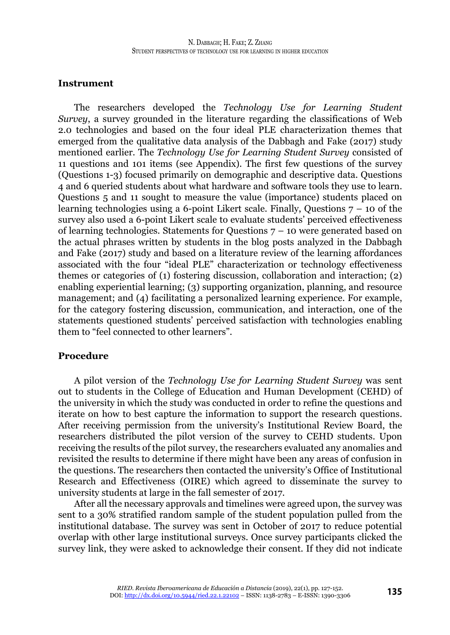#### **Instrument**

The researchers developed the *Technology Use for Learning Student Survey*, a survey grounded in the literature regarding the classifications of Web 2.0 technologies and based on the four ideal PLE characterization themes that emerged from the qualitative data analysis of the Dabbagh and Fake (2017) study mentioned earlier. The *Technology Use for Learning Student Survey* consisted of 11 questions and 101 items (see Appendix). The first few questions of the survey (Questions 1-3) focused primarily on demographic and descriptive data. Questions 4 and 6 queried students about what hardware and software tools they use to learn. Questions 5 and 11 sought to measure the value (importance) students placed on learning technologies using a 6-point Likert scale. Finally, Questions  $7 - 10$  of the survey also used a 6-point Likert scale to evaluate students' perceived effectiveness of learning technologies. Statements for Questions 7 – 10 were generated based on the actual phrases written by students in the blog posts analyzed in the Dabbagh and Fake (2017) study and based on a literature review of the learning affordances associated with the four "ideal PLE" characterization or technology effectiveness themes or categories of (1) fostering discussion, collaboration and interaction; (2) enabling experiential learning; (3) supporting organization, planning, and resource management; and (4) facilitating a personalized learning experience. For example, for the category fostering discussion, communication, and interaction, one of the statements questioned students' perceived satisfaction with technologies enabling them to "feel connected to other learners".

#### **Procedure**

A pilot version of the *Technology Use for Learning Student Survey* was sent out to students in the College of Education and Human Development (CEHD) of the university in which the study was conducted in order to refine the questions and iterate on how to best capture the information to support the research questions. After receiving permission from the university's Institutional Review Board, the researchers distributed the pilot version of the survey to CEHD students. Upon receiving the results of the pilot survey, the researchers evaluated any anomalies and revisited the results to determine if there might have been any areas of confusion in the questions. The researchers then contacted the university's Office of Institutional Research and Effectiveness (OIRE) which agreed to disseminate the survey to university students at large in the fall semester of 2017.

After all the necessary approvals and timelines were agreed upon, the survey was sent to a 30% stratified random sample of the student population pulled from the institutional database. The survey was sent in October of 2017 to reduce potential overlap with other large institutional surveys. Once survey participants clicked the survey link, they were asked to acknowledge their consent. If they did not indicate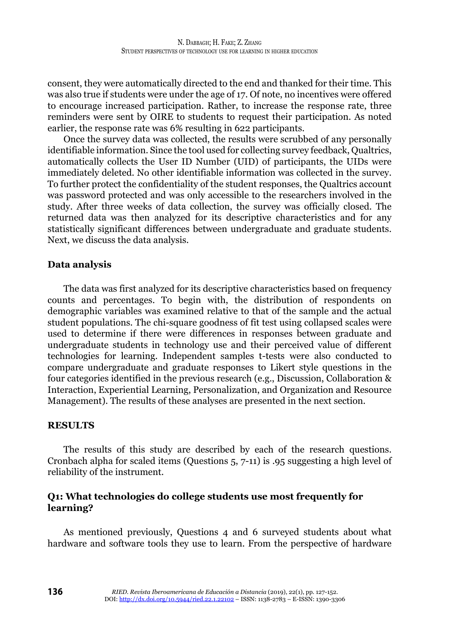consent, they were automatically directed to the end and thanked for their time. This was also true if students were under the age of 17. Of note, no incentives were offered to encourage increased participation. Rather, to increase the response rate, three reminders were sent by OIRE to students to request their participation. As noted earlier, the response rate was 6% resulting in 622 participants.

Once the survey data was collected, the results were scrubbed of any personally identifiable information. Since the tool used for collecting survey feedback, Qualtrics, automatically collects the User ID Number (UID) of participants, the UIDs were immediately deleted. No other identifiable information was collected in the survey. To further protect the confidentiality of the student responses, the Qualtrics account was password protected and was only accessible to the researchers involved in the study. After three weeks of data collection, the survey was officially closed. The returned data was then analyzed for its descriptive characteristics and for any statistically significant differences between undergraduate and graduate students. Next, we discuss the data analysis.

#### **Data analysis**

The data was first analyzed for its descriptive characteristics based on frequency counts and percentages. To begin with, the distribution of respondents on demographic variables was examined relative to that of the sample and the actual student populations. The chi-square goodness of fit test using collapsed scales were used to determine if there were differences in responses between graduate and undergraduate students in technology use and their perceived value of different technologies for learning. Independent samples t-tests were also conducted to compare undergraduate and graduate responses to Likert style questions in the four categories identified in the previous research (e.g., Discussion, Collaboration & Interaction, Experiential Learning, Personalization, and Organization and Resource Management). The results of these analyses are presented in the next section.

#### **RESULTS**

The results of this study are described by each of the research questions. Cronbach alpha for scaled items (Questions 5, 7-11) is .95 suggesting a high level of reliability of the instrument.

#### **Q1: What technologies do college students use most frequently for learning?**

As mentioned previously, Questions 4 and 6 surveyed students about what hardware and software tools they use to learn. From the perspective of hardware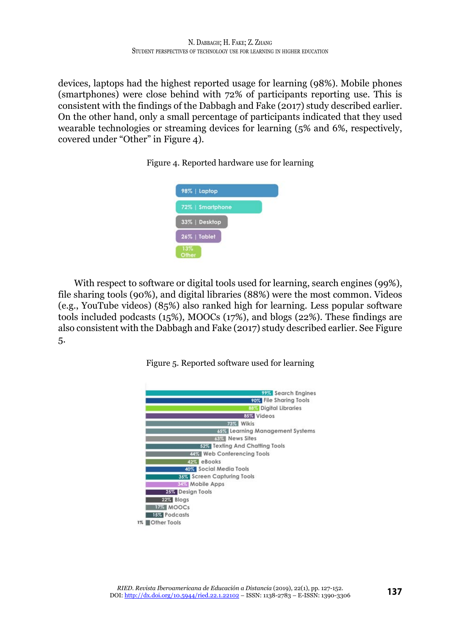devices, laptops had the highest reported usage for learning (98%). Mobile phones (smartphones) were close behind with 72% of participants reporting use. This is consistent with the findings of the Dabbagh and Fake (2017) study described earlier. On the other hand, only a small percentage of participants indicated that they used wearable technologies or streaming devices for learning (5% and 6%, respectively, covered under "Other" in Figure 4).

Figure 4. Reported hardware use for learning



With respect to software or digital tools used for learning, search engines (99%), file sharing tools (90%), and digital libraries (88%) were the most common. Videos (e.g., YouTube videos) (85%) also ranked high for learning. Less popular software tools included podcasts (15%), MOOCs (17%), and blogs (22%). These findings are also consistent with the Dabbagh and Fake (2017) study described earlier. See Figure 5.



Figure 5. Reported software used for learning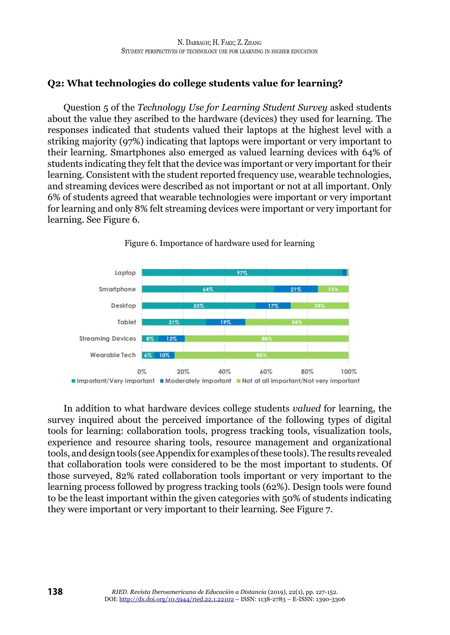### **Q2: What technologies do college students value for learning?**

Question 5 of the *Technology Use for Learning Student Survey* asked students about the value they ascribed to the hardware (devices) they used for learning. The responses indicated that students valued their laptops at the highest level with a striking majority (97%) indicating that laptops were important or very important to their learning. Smartphones also emerged as valued learning devices with 64% of students indicating they felt that the device was important or very important for their learning. Consistent with the student reported frequency use, wearable technologies, and streaming devices were described as not important or not at all important. Only 6% of students agreed that wearable technologies were important or very important for learning and only 8% felt streaming devices were important or very important for learning. See Figure 6.



Figure 6. Importance of hardware used for learning

In addition to what hardware devices college students *valued* for learning, the survey inquired about the perceived importance of the following types of digital tools for learning: collaboration tools, progress tracking tools, visualization tools, experience and resource sharing tools, resource management and organizational tools, and design tools (see Appendix for examples of these tools). The results revealed that collaboration tools were considered to be the most important to students. Of those surveyed, 82% rated collaboration tools important or very important to the learning process followed by progress tracking tools (62%). Design tools were found to be the least important within the given categories with 50% of students indicating they were important or very important to their learning. See Figure 7.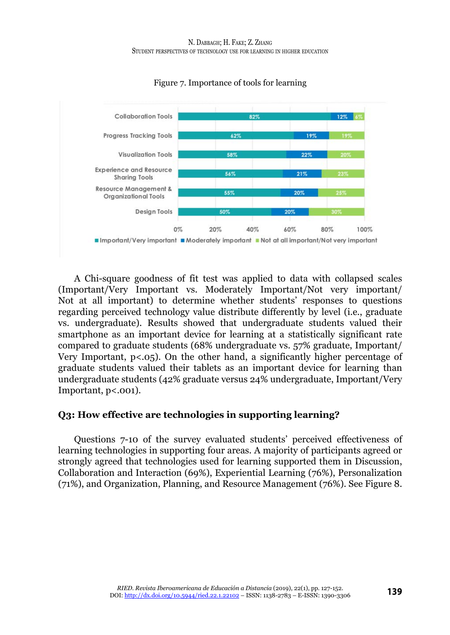

Figure 7. Importance of tools for learning

A Chi-square goodness of fit test was applied to data with collapsed scales (Important/Very Important vs. Moderately Important/Not very important/ Not at all important) to determine whether students' responses to questions regarding perceived technology value distribute differently by level (i.e., graduate vs. undergraduate). Results showed that undergraduate students valued their smartphone as an important device for learning at a statistically significant rate compared to graduate students (68% undergraduate vs. 57% graduate, Important/ Very Important,  $p < 0.05$ ). On the other hand, a significantly higher percentage of graduate students valued their tablets as an important device for learning than undergraduate students (42% graduate versus 24% undergraduate, Important/Very Important, p<.001).

#### **Q3: How effective are technologies in supporting learning?**

Questions 7-10 of the survey evaluated students' perceived effectiveness of learning technologies in supporting four areas. A majority of participants agreed or strongly agreed that technologies used for learning supported them in Discussion, Collaboration and Interaction (69%), Experiential Learning (76%), Personalization (71%), and Organization, Planning, and Resource Management (76%). See Figure 8.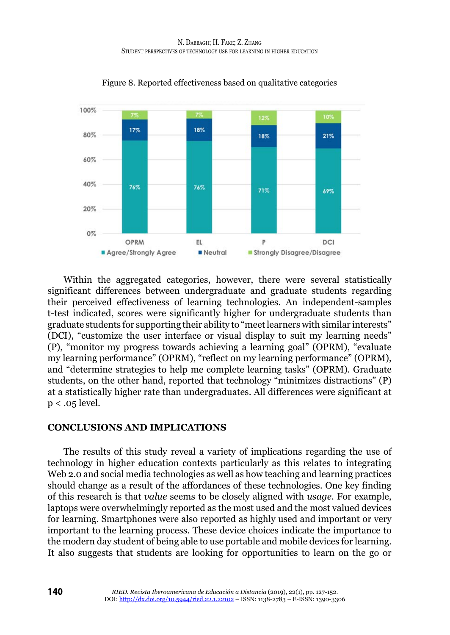

Figure 8. Reported effectiveness based on qualitative categories

Within the aggregated categories, however, there were several statistically significant differences between undergraduate and graduate students regarding their perceived effectiveness of learning technologies. An independent-samples t-test indicated, scores were significantly higher for undergraduate students than graduate students for supporting their ability to "meet learners with similar interests" (DCI), "customize the user interface or visual display to suit my learning needs" (P), "monitor my progress towards achieving a learning goal" (OPRM), "evaluate my learning performance" (OPRM), "reflect on my learning performance" (OPRM), and "determine strategies to help me complete learning tasks" (OPRM). Graduate students, on the other hand, reported that technology "minimizes distractions" (P) at a statistically higher rate than undergraduates. All differences were significant at p < .05 level.

#### **CONCLUSIONS AND IMPLICATIONS**

The results of this study reveal a variety of implications regarding the use of technology in higher education contexts particularly as this relates to integrating Web 2.0 and social media technologies as well as how teaching and learning practices should change as a result of the affordances of these technologies. One key finding of this research is that *value* seems to be closely aligned with *usage*. For example, laptops were overwhelmingly reported as the most used and the most valued devices for learning. Smartphones were also reported as highly used and important or very important to the learning process. These device choices indicate the importance to the modern day student of being able to use portable and mobile devices for learning. It also suggests that students are looking for opportunities to learn on the go or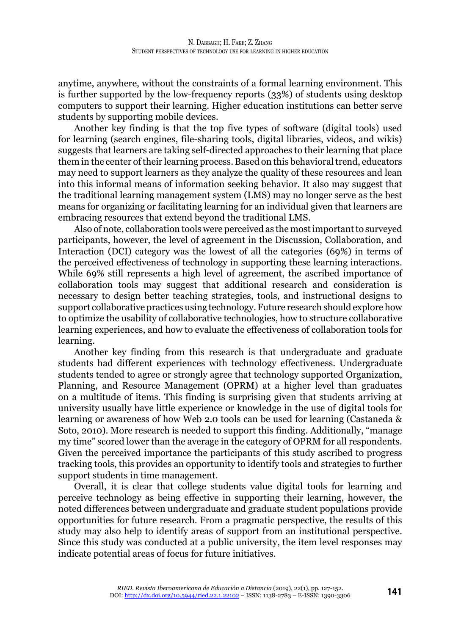anytime, anywhere, without the constraints of a formal learning environment. This is further supported by the low-frequency reports (33%) of students using desktop computers to support their learning. Higher education institutions can better serve students by supporting mobile devices.

Another key finding is that the top five types of software (digital tools) used for learning (search engines, file-sharing tools, digital libraries, videos, and wikis) suggests that learners are taking self-directed approaches to their learning that place them in the center of their learning process. Based on this behavioral trend, educators may need to support learners as they analyze the quality of these resources and lean into this informal means of information seeking behavior. It also may suggest that the traditional learning management system (LMS) may no longer serve as the best means for organizing or facilitating learning for an individual given that learners are embracing resources that extend beyond the traditional LMS.

Also of note, collaboration tools were perceived as the most important to surveyed participants, however, the level of agreement in the Discussion, Collaboration, and Interaction (DCI) category was the lowest of all the categories (69%) in terms of the perceived effectiveness of technology in supporting these learning interactions. While 69% still represents a high level of agreement, the ascribed importance of collaboration tools may suggest that additional research and consideration is necessary to design better teaching strategies, tools, and instructional designs to support collaborative practices using technology. Future research should explore how to optimize the usability of collaborative technologies, how to structure collaborative learning experiences, and how to evaluate the effectiveness of collaboration tools for learning.

Another key finding from this research is that undergraduate and graduate students had different experiences with technology effectiveness. Undergraduate students tended to agree or strongly agree that technology supported Organization, Planning, and Resource Management (OPRM) at a higher level than graduates on a multitude of items. This finding is surprising given that students arriving at university usually have little experience or knowledge in the use of digital tools for learning or awareness of how Web 2.0 tools can be used for learning (Castaneda & Soto, 2010). More research is needed to support this finding. Additionally, "manage my time" scored lower than the average in the category of OPRM for all respondents. Given the perceived importance the participants of this study ascribed to progress tracking tools, this provides an opportunity to identify tools and strategies to further support students in time management.

Overall, it is clear that college students value digital tools for learning and perceive technology as being effective in supporting their learning, however, the noted differences between undergraduate and graduate student populations provide opportunities for future research. From a pragmatic perspective, the results of this study may also help to identify areas of support from an institutional perspective. Since this study was conducted at a public university, the item level responses may indicate potential areas of focus for future initiatives.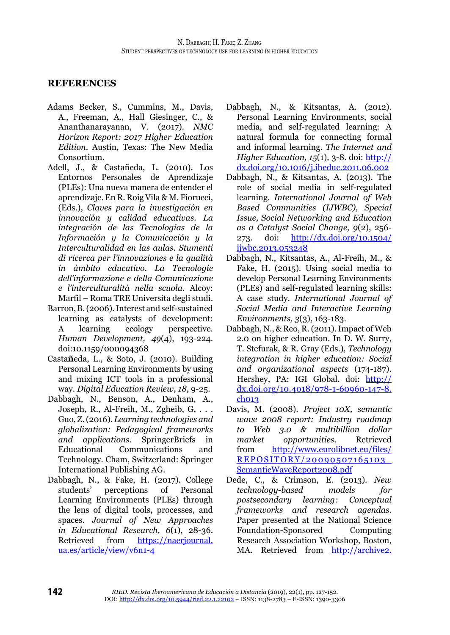#### **REFERENCES**

- Adams Becker, S., Cummins, M., Davis, A., Freeman, A., Hall Giesinger, C., & Ananthanarayanan, V. (2017). *NMC Horizon Report: 2017 Higher Education Edition*. Austin, Texas: The New Media Consortium.
- Adell, J., & Castañeda, L. (2010). Los Entornos Personales de Aprendizaje (PLEs): Una nueva manera de entender el aprendizaje. En R. Roig Vila & M. Fiorucci, (Eds.), *Claves para la investigación en innovación y calidad educativas. La integración de las Tecnologías de la Información y la Comunicación y la Interculturalidad en las aulas. Stumenti di ricerca per l'innovaziones e la qualità in ámbito educativo. La Tecnologie dell'informazione e della Comunicazione e l'interculturalità nella scuola.* Alcoy: Marfil – Roma TRE Universita degli studi.
- Barron, B. (2006). Interest and self-sustained learning as catalysts of development: A learning ecology perspective. *Human Development, 49*(4), 193-224. doi:10.1159/000094368
- Casta**ñ**eda, L., & Soto, J. (2010). Building Personal Learning Environments by using and mixing ICT tools in a professional way. *Digital Education Review*, *18*, 9-25.
- Dabbagh, N., Benson, A., Denham, A., Joseph, R., Al-Freih, M., Zgheib, G, . . . Guo, Z. (2016). *Learning technologies and globalization: Pedagogical frameworks and applications.* SpringerBriefs in Educational Communications and Technology. Cham, Switzerland: Springer International Publishing AG.
- Dabbagh, N., & Fake, H. (2017). College students' perceptions of Personal Learning Environments (PLEs) through the lens of digital tools, processes, and spaces. *Journal of New Approaches in Educational Research, 6*(1), 28-36. Retrieved from [https://naerjournal.](https://naerjournal.ua.es/article/view/v6n1-4) [ua.es/article/view/v6n1-4](https://naerjournal.ua.es/article/view/v6n1-4)
- Dabbagh, N., & Kitsantas, A. (2012). Personal Learning Environments, social media, and self-regulated learning: A natural formula for connecting formal and informal learning. *The Internet and Higher Education, 15*(1)*,* 3-8. doi: [http://](http://dx.doi.org/10.1016/j.iheduc.2011.06.002) [dx.doi.org/10.1016/j.iheduc.2011.06.002](http://dx.doi.org/10.1016/j.iheduc.2011.06.002)
- Dabbagh, N., & Kitsantas, A. (2013). The role of social media in self-regulated learning. *International Journal of Web Based Communities (IJWBC), Special Issue, Social Networking and Education as a Catalyst Social Change, 9(2), 256-*<br>273. *doi:* http://dx.doi.org/10.1504/ 273. doi: [http://dx.doi.org/10.1504/](http://dx.doi.org/10.1504/ijwbc.2013.053248) [ijwbc.2013.053248](http://dx.doi.org/10.1504/ijwbc.2013.053248)
- Dabbagh, N., Kitsantas, A., Al-Freih, M., & Fake, H. (2015). Using social media to develop Personal Learning Environments (PLEs) and self-regulated learning skills: A case study. *International Journal of Social Media and Interactive Learning Environments, 3*(3), 163-183.
- Dabbagh, N., & Reo, R. (2011). Impact of Web 2.0 on higher education. In D. W. Surry, T. Stefurak, & R. Gray (Eds.), *Technology integration in higher education: Social and organizational aspects* (174-187). Hershey, PA: IGI Global. doi: [http://](http://dx.doi.org/10.4018/978-1-60960-147-8.ch013) [dx.doi.org/10.4018/978-1-60960-147-8.](http://dx.doi.org/10.4018/978-1-60960-147-8.ch013) [ch013](http://dx.doi.org/10.4018/978-1-60960-147-8.ch013)
- Davis, M. (2008). *Project 10X, semantic wave 2008 report: Industry roadmap to Web 3.0 & multibillion dollar market opportunities.* Retrieved from [http://www.eurolibnet.eu/files/](http://www.eurolibnet.eu/files/REPOSITORY/20090507165103_SemanticWaveReport2008.pdf) [REPOSITORY/20090507165103\\_](http://www.eurolibnet.eu/files/REPOSITORY/20090507165103_SemanticWaveReport2008.pdf) [SemanticWaveReport2008.pdf](http://www.eurolibnet.eu/files/REPOSITORY/20090507165103_SemanticWaveReport2008.pdf)
- Dede, C., & Crimson, E. (2013). *New technology-based models for postsecondary learning: Conceptual frameworks and research agendas*. Paper presented at the National Science Foundation-Sponsored Computing Research Association Workshop, Boston, MA. Retrieved from [http://archive2.](http://archive2.cra.org/uploads/documents/resources/rissues/Postseconday_Learning_NSF-CRA_report.pdf)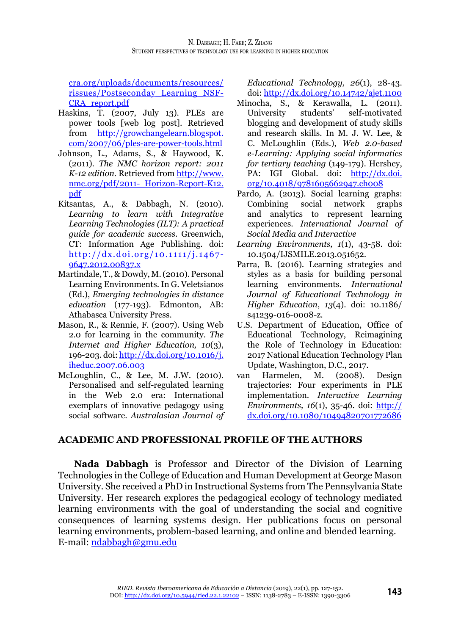[cra.org/uploads/documents/resources/](http://archive2.cra.org/uploads/documents/resources/rissues/Postseconday_Learning_NSF-CRA_report.pdf) [rissues/Postseconday\\_Learning\\_NSF-](http://archive2.cra.org/uploads/documents/resources/rissues/Postseconday_Learning_NSF-CRA_report.pdf)[CRA\\_report.pdf](http://archive2.cra.org/uploads/documents/resources/rissues/Postseconday_Learning_NSF-CRA_report.pdf)

- Haskins, T. (2007, July 13). PLEs are power tools [web log post]. Retrieved from [http://growchangelearn.blogspot.](http://growchangelearn.blogspot.com/2007/06/ples-are-power-tools.html) [com/2007/06/ples-are-power-tools.html](http://growchangelearn.blogspot.com/2007/06/ples-are-power-tools.html)
- Johnson, L., Adams, S., & Haywood, K. (2011). *The NMC horizon report: 2011 K-12 edition.* Retrieved from [http://www.](http://www.nmc.org/pdf/2011-%20Horizon-Report-K12.pdf) [nmc.org/pdf/2011- Horizon-Report-K12.](http://www.nmc.org/pdf/2011-%20Horizon-Report-K12.pdf) [pdf](http://www.nmc.org/pdf/2011-%20Horizon-Report-K12.pdf)
- Kitsantas, A., & Dabbagh, N. (2010). *Learning to learn with Integrative Learning Technologies (ILT): A practical guide for academic success*. Greenwich, CT: Information Age Publishing. doi: [http://dx.doi.org/10.1111/j.1467-](http://dx.doi.org/10.1111/j.1467-9647.2012.00837.x) [9647.2012.00837.x](http://dx.doi.org/10.1111/j.1467-9647.2012.00837.x)
- Martindale, T., & Dowdy, M. (2010). Personal Learning Environments. In G. Veletsianos (Ed.), *Emerging technologies in distance education* (177-193). Edmonton, AB: Athabasca University Press.
- Mason, R., & Rennie, F. (2007). Using Web 2.0 for learning in the community. *The Internet and Higher Education, 10*(3), 196-203. doi: [http://dx.doi.org/10.1016/j.](http://dx.doi.org/10.1016/j.iheduc.2007.06.003) [iheduc.2007.06.003](http://dx.doi.org/10.1016/j.iheduc.2007.06.003)
- McLoughlin, C., & Lee, M. J.W. (2010). Personalised and self-regulated learning in the Web 2.0 era: International exemplars of innovative pedagogy using social software. *Australasian Journal of*

*Educational Technology, 26*(1), 28-43. doi: <http://dx.doi.org/10.14742/ajet.1100>

- Minocha, S., & Kerawalla, L. (2011). University students' self-motivated blogging and development of study skills and research skills. In M. J. W. Lee, & C. McLoughlin (Eds.), *Web 2.0-based e-Learning: Applying social informatics for tertiary teaching* (149-179). Hershey, PA: IGI Global. doi: [http://dx.doi.](http://dx.doi.org/10.4018/9781605662947.ch008) [org/10.4018/9781605662947.ch008](http://dx.doi.org/10.4018/9781605662947.ch008)
- Pardo, A. (2013). Social learning graphs: Combining social network graphs and analytics to represent learning experiences. *International Journal of Social Media and Interactive*
- *Learning Environments, 1*(1), 43-58. doi: 10.1504/IJSMILE.2013.051652.
- Parra, B. (2016). Learning strategies and styles as a basis for building personal learning environments. *International Journal of Educational Technology in Higher Education*, *13*(4). doi: 10.1186/ s41239-016-0008-z.
- U.S. Department of Education, Office of Educational Technology, Reimagining the Role of Technology in Education: 2017 National Education Technology Plan Update, Washington, D.C., 2017.<br>1 Harmelen, M. (2008).
- van Harmelen, M. (2008). Design trajectories: Four experiments in PLE implementation. *Interactive Learning Environments, 16*(1), 35-46. doi: [http://](http://dx.doi.org/10.1080/10494820701772686) [dx.doi.org/10.1080/10494820701772686](http://dx.doi.org/10.1080/10494820701772686)

#### **ACADEMIC AND PROFESSIONAL PROFILE OF THE AUTHORS**

**Nada Dabbagh** is Professor and Director of the Division of Learning Technologies in the College of Education and Human Development at George Mason University. She received a PhD in Instructional Systems from The Pennsylvania State University. Her research explores the pedagogical ecology of technology mediated learning environments with the goal of understanding the social and cognitive consequences of learning systems design. Her publications focus on personal learning environments, problem-based learning, and online and blended learning. E-mail: [ndabbagh@gmu.edu](mailto:ndabbagh@gmu.edu)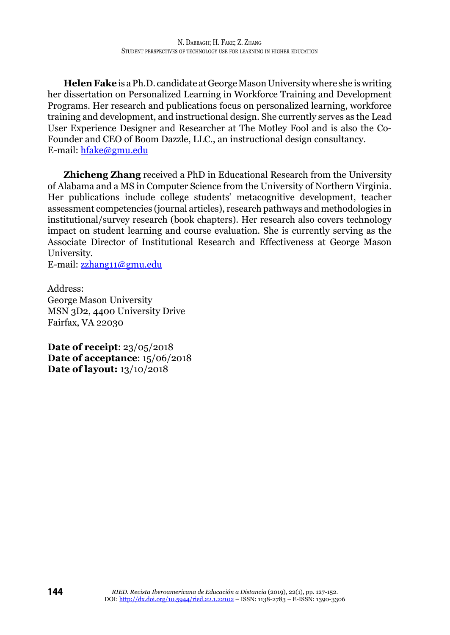**Helen Fake** is a Ph.D. candidate at George Mason University where she is writing her dissertation on Personalized Learning in Workforce Training and Development Programs. Her research and publications focus on personalized learning, workforce training and development, and instructional design. She currently serves as the Lead User Experience Designer and Researcher at The Motley Fool and is also the Co-Founder and CEO of Boom Dazzle, LLC., an instructional design consultancy. E-mail: [hfake@gmu.edu](mailto:hfake@gmu.edu)

**Zhicheng Zhang** received a PhD in Educational Research from the University of Alabama and a MS in Computer Science from the University of Northern Virginia. Her publications include college students' metacognitive development, teacher assessment competencies (journal articles), research pathways and methodologies in institutional/survey research (book chapters). Her research also covers technology impact on student learning and course evaluation. She is currently serving as the Associate Director of Institutional Research and Effectiveness at George Mason University.

E-mail: [zzhang11@gmu.edu](mailto:zzhang11@gmu.edu)

Address: George Mason University MSN 3D2, 4400 University Drive Fairfax, VA 22030

**Date of receipt**: 23/05/2018 **Date of acceptance**: 15/06/2018 **Date of layout:** 13/10/2018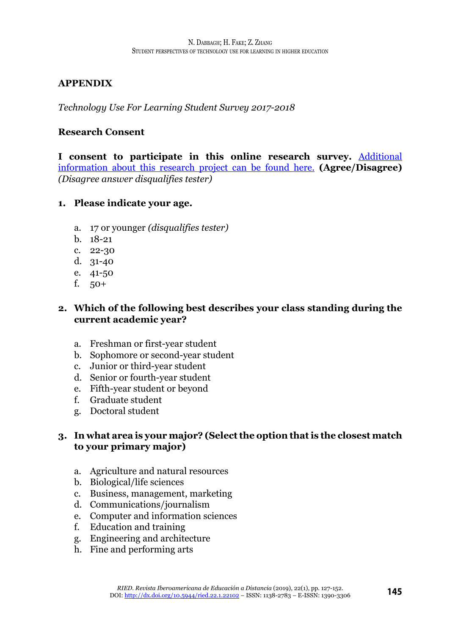## **APPENDIX**

*Technology Use For Learning Student Survey 2017-2018*

#### **Research Consent**

**I consent to participate in this online research survey.** [Additional](https://docs.google.com/document/d/1gnFbapnFuJcLLDA57ws4p8YS0CUtSiuFt0qFHukCet8/edit)  [information about this research project can be found here.](https://docs.google.com/document/d/1gnFbapnFuJcLLDA57ws4p8YS0CUtSiuFt0qFHukCet8/edit) **(Agree/Disagree)**  *(Disagree answer disqualifies tester)*

#### **1. Please indicate your age.**

- a. 17 or younger *(disqualifies tester)*
- b. 18-21
- c. 22-30
- d. 31-40
- e. 41-50
- f. 50+

#### **2. Which of the following best describes your class standing during the current academic year?**

- a. Freshman or first-year student
- b. Sophomore or second-year student
- c. Junior or third-year student
- d. Senior or fourth-year student
- e. Fifth-year student or beyond
- f. Graduate student
- g. Doctoral student

### **3. In what area is your major? (Select the option that is the closest match to your primary major)**

- a. Agriculture and natural resources
- b. Biological/life sciences
- c. Business, management, marketing
- d. Communications/journalism
- e. Computer and information sciences
- f. Education and training
- g. Engineering and architecture
- h. Fine and performing arts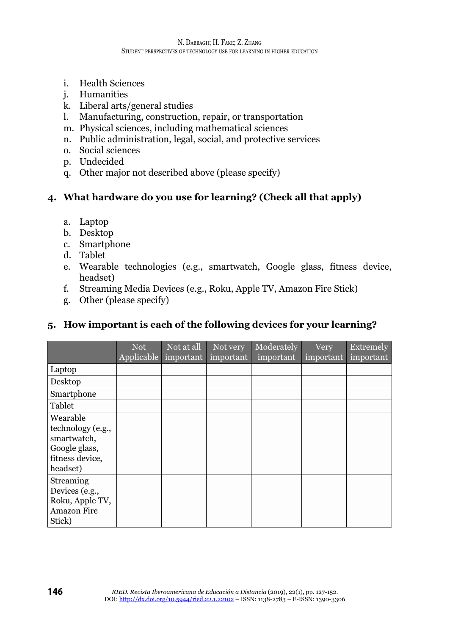- i. Health Sciences
- j. Humanities
- k. Liberal arts/general studies
- l. Manufacturing, construction, repair, or transportation
- m. Physical sciences, including mathematical sciences
- n. Public administration, legal, social, and protective services
- o. Social sciences
- p. Undecided
- q. Other major not described above (please specify)

## **4. What hardware do you use for learning? (Check all that apply)**

- a. Laptop
- b. Desktop
- c. Smartphone
- d. Tablet
- e. Wearable technologies (e.g., smartwatch, Google glass, fitness device, headset)
- f. Streaming Media Devices (e.g., Roku, Apple TV, Amazon Fire Stick)
- g. Other (please specify)

## **5. How important is each of the following devices for your learning?**

|                                                                                              | <b>Not</b> | Not at all<br>Applicable important | Not very<br>important | Moderately<br>important | <b>Very</b><br>important | Extremely<br>important |
|----------------------------------------------------------------------------------------------|------------|------------------------------------|-----------------------|-------------------------|--------------------------|------------------------|
| Laptop                                                                                       |            |                                    |                       |                         |                          |                        |
| Desktop                                                                                      |            |                                    |                       |                         |                          |                        |
| Smartphone                                                                                   |            |                                    |                       |                         |                          |                        |
| Tablet                                                                                       |            |                                    |                       |                         |                          |                        |
| Wearable<br>technology (e.g.,<br>smartwatch,<br>Google glass,<br>fitness device,<br>headset) |            |                                    |                       |                         |                          |                        |
| Streaming<br>Devices (e.g.,<br>Roku, Apple TV,<br>Amazon Fire<br>Stick)                      |            |                                    |                       |                         |                          |                        |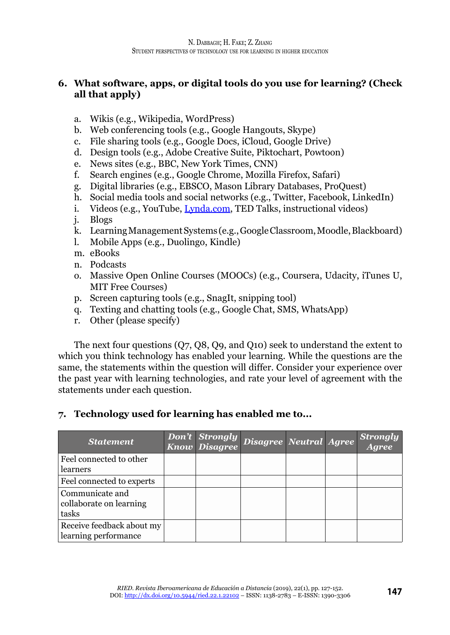### **6. What software, apps, or digital tools do you use for learning? (Check all that apply)**

- a. Wikis (e.g., Wikipedia, WordPress)
- b. Web conferencing tools (e.g., Google Hangouts, Skype)
- c. File sharing tools (e.g., Google Docs, iCloud, Google Drive)
- d. Design tools (e.g., Adobe Creative Suite, Piktochart, Powtoon)
- e. News sites (e.g., BBC, New York Times, CNN)
- f. Search engines (e.g., Google Chrome, Mozilla Firefox, Safari)
- g. Digital libraries (e.g., EBSCO, Mason Library Databases, ProQuest)
- h. Social media tools and social networks (e.g., Twitter, Facebook, LinkedIn)
- i. Videos (e.g., YouTube, [Lynda.com,](http://Lynda.com) TED Talks, instructional videos)
- j. Blogs
- k. Learning Management Systems (e.g., Google Classroom, Moodle, Blackboard)
- l. Mobile Apps (e.g., Duolingo, Kindle)
- m. eBooks
- n. Podcasts
- o. Massive Open Online Courses (MOOCs) (e.g., Coursera, Udacity, iTunes U, MIT Free Courses)
- p. Screen capturing tools (e.g., SnagIt, snipping tool)
- q. Texting and chatting tools (e.g., Google Chat, SMS, WhatsApp)
- r. Other (please specify)

The next four questions  $(Q_7, Q_8, Q_9,$  and  $Q_1$ <sup>o</sup>) seek to understand the extent to which you think technology has enabled your learning. While the questions are the same, the statements within the question will differ. Consider your experience over the past year with learning technologies, and rate your level of agreement with the statements under each question.

#### **7. Technology used for learning has enabled me to...**

| <b>Statement</b>                                    | Know Disagree | Don't Strongly Disagree Neutral Agree |  | <b>Strongly</b><br>Agree |
|-----------------------------------------------------|---------------|---------------------------------------|--|--------------------------|
| Feel connected to other<br>learners                 |               |                                       |  |                          |
| Feel connected to experts                           |               |                                       |  |                          |
| Communicate and<br>collaborate on learning<br>tasks |               |                                       |  |                          |
| Receive feedback about my<br>learning performance   |               |                                       |  |                          |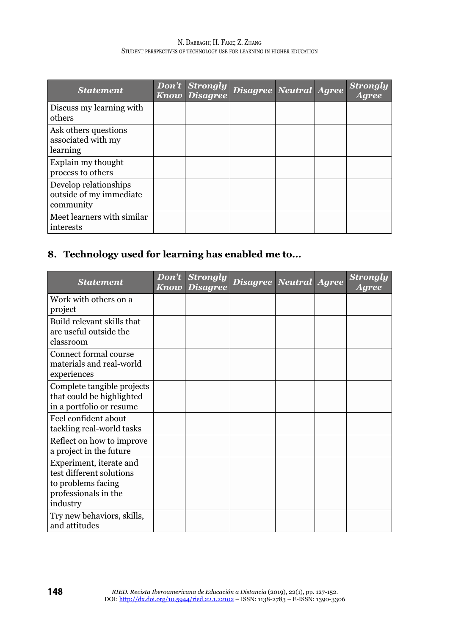| <b>Statement</b>                                              | Don't Strongly<br>Know Disagree | Disagree Neutral Agree |  | <b>Strongly</b><br><b>Agree</b> |
|---------------------------------------------------------------|---------------------------------|------------------------|--|---------------------------------|
| Discuss my learning with<br>others                            |                                 |                        |  |                                 |
| Ask others questions<br>associated with my<br>learning        |                                 |                        |  |                                 |
| Explain my thought<br>process to others                       |                                 |                        |  |                                 |
| Develop relationships<br>outside of my immediate<br>community |                                 |                        |  |                                 |
| Meet learners with similar<br>interests                       |                                 |                        |  |                                 |

## **8. Technology used for learning has enabled me to...**

| <b>Statement</b>                                                                                              | Don't<br>Know | <b>Strongly</b><br><b>Disagree</b> | Disagree   Neutral   Agree |  | <b>Strongly</b><br>Agree |
|---------------------------------------------------------------------------------------------------------------|---------------|------------------------------------|----------------------------|--|--------------------------|
| Work with others on a                                                                                         |               |                                    |                            |  |                          |
| project                                                                                                       |               |                                    |                            |  |                          |
| Build relevant skills that<br>are useful outside the<br>classroom                                             |               |                                    |                            |  |                          |
| Connect formal course<br>materials and real-world<br>experiences                                              |               |                                    |                            |  |                          |
| Complete tangible projects<br>that could be highlighted<br>in a portfolio or resume                           |               |                                    |                            |  |                          |
| Feel confident about<br>tackling real-world tasks                                                             |               |                                    |                            |  |                          |
| Reflect on how to improve<br>a project in the future                                                          |               |                                    |                            |  |                          |
| Experiment, iterate and<br>test different solutions<br>to problems facing<br>professionals in the<br>industry |               |                                    |                            |  |                          |
| Try new behaviors, skills,<br>and attitudes                                                                   |               |                                    |                            |  |                          |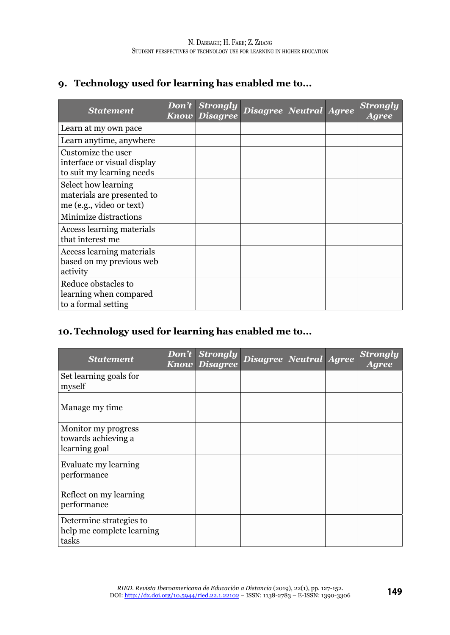## **9. Technology used for learning has enabled me to...**

| <b>Statement</b>                                                               | $\mathbf{Don't}$ | <b>Strongly</b><br>Know Disagree | Disagree Neutral Agree |  | <b>Strongly</b><br><b>Agree</b> |
|--------------------------------------------------------------------------------|------------------|----------------------------------|------------------------|--|---------------------------------|
| Learn at my own pace                                                           |                  |                                  |                        |  |                                 |
| Learn anytime, anywhere                                                        |                  |                                  |                        |  |                                 |
| Customize the user<br>interface or visual display<br>to suit my learning needs |                  |                                  |                        |  |                                 |
| Select how learning<br>materials are presented to<br>me (e.g., video or text)  |                  |                                  |                        |  |                                 |
| Minimize distractions                                                          |                  |                                  |                        |  |                                 |
| Access learning materials<br>that interest me                                  |                  |                                  |                        |  |                                 |
| Access learning materials<br>based on my previous web<br>activity              |                  |                                  |                        |  |                                 |
| Reduce obstacles to<br>learning when compared<br>to a formal setting           |                  |                                  |                        |  |                                 |

## **10. Technology used for learning has enabled me to...**

| <b>Statement</b>                                              | <b>Don't Strongly</b><br>Know Disagree | <b>Disagree Neutral Agree</b> |  | <b>Strongly</b><br><b>Agree</b> |
|---------------------------------------------------------------|----------------------------------------|-------------------------------|--|---------------------------------|
| Set learning goals for<br>myself                              |                                        |                               |  |                                 |
| Manage my time                                                |                                        |                               |  |                                 |
| Monitor my progress<br>towards achieving a<br>learning goal   |                                        |                               |  |                                 |
| Evaluate my learning<br>performance                           |                                        |                               |  |                                 |
| Reflect on my learning<br>performance                         |                                        |                               |  |                                 |
| Determine strategies to<br>help me complete learning<br>tasks |                                        |                               |  |                                 |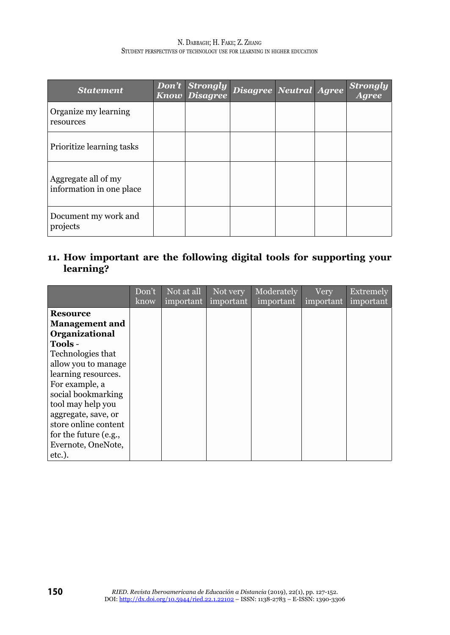| <b>Statement</b>                                | Don't Strongly<br>Know Disagree | <b>Disagree Neutral Agree</b> |  | <b>Strongly</b><br><b>Agree</b> |
|-------------------------------------------------|---------------------------------|-------------------------------|--|---------------------------------|
| Organize my learning<br>resources               |                                 |                               |  |                                 |
| Prioritize learning tasks                       |                                 |                               |  |                                 |
| Aggregate all of my<br>information in one place |                                 |                               |  |                                 |
| Document my work and<br>projects                |                                 |                               |  |                                 |

## **11. How important are the following digital tools for supporting your learning?**

|                       | Don't<br>know | Not at all<br>important | Not very<br>important | Moderately<br>important | <b>Very</b><br>important | <b>Extremely</b><br>important |
|-----------------------|---------------|-------------------------|-----------------------|-------------------------|--------------------------|-------------------------------|
| <b>Resource</b>       |               |                         |                       |                         |                          |                               |
| <b>Management and</b> |               |                         |                       |                         |                          |                               |
| Organizational        |               |                         |                       |                         |                          |                               |
| <b>Tools</b> -        |               |                         |                       |                         |                          |                               |
| Technologies that     |               |                         |                       |                         |                          |                               |
| allow you to manage   |               |                         |                       |                         |                          |                               |
| learning resources.   |               |                         |                       |                         |                          |                               |
| For example, a        |               |                         |                       |                         |                          |                               |
| social bookmarking    |               |                         |                       |                         |                          |                               |
| tool may help you     |               |                         |                       |                         |                          |                               |
| aggregate, save, or   |               |                         |                       |                         |                          |                               |
| store online content  |               |                         |                       |                         |                          |                               |
| for the future (e.g., |               |                         |                       |                         |                          |                               |
| Evernote, OneNote,    |               |                         |                       |                         |                          |                               |
| $etc.$ ).             |               |                         |                       |                         |                          |                               |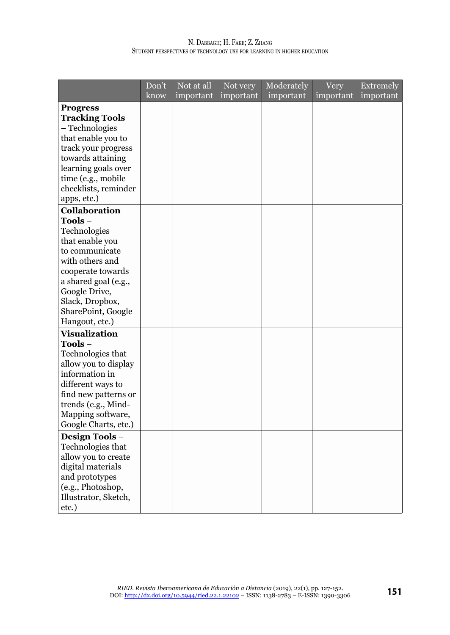|                       | Don't | Not at all | Not very  | Moderately | Very      | <b>Extremely</b> |
|-----------------------|-------|------------|-----------|------------|-----------|------------------|
|                       | know  | important  | important | important  | important | important        |
| <b>Progress</b>       |       |            |           |            |           |                  |
| <b>Tracking Tools</b> |       |            |           |            |           |                  |
| - Technologies        |       |            |           |            |           |                  |
| that enable you to    |       |            |           |            |           |                  |
| track your progress   |       |            |           |            |           |                  |
| towards attaining     |       |            |           |            |           |                  |
| learning goals over   |       |            |           |            |           |                  |
| time (e.g., mobile    |       |            |           |            |           |                  |
| checklists, reminder  |       |            |           |            |           |                  |
| apps, etc.)           |       |            |           |            |           |                  |
| Collaboration         |       |            |           |            |           |                  |
| Tools-                |       |            |           |            |           |                  |
| Technologies          |       |            |           |            |           |                  |
| that enable you       |       |            |           |            |           |                  |
| to communicate        |       |            |           |            |           |                  |
| with others and       |       |            |           |            |           |                  |
| cooperate towards     |       |            |           |            |           |                  |
| a shared goal (e.g.,  |       |            |           |            |           |                  |
| Google Drive,         |       |            |           |            |           |                  |
| Slack, Dropbox,       |       |            |           |            |           |                  |
| SharePoint, Google    |       |            |           |            |           |                  |
| Hangout, etc.)        |       |            |           |            |           |                  |
| <b>Visualization</b>  |       |            |           |            |           |                  |
| Tools-                |       |            |           |            |           |                  |
| Technologies that     |       |            |           |            |           |                  |
| allow you to display  |       |            |           |            |           |                  |
| information in        |       |            |           |            |           |                  |
| different ways to     |       |            |           |            |           |                  |
| find new patterns or  |       |            |           |            |           |                  |
| trends (e.g., Mind-   |       |            |           |            |           |                  |
| Mapping software,     |       |            |           |            |           |                  |
| Google Charts, etc.)  |       |            |           |            |           |                  |
| Design Tools-         |       |            |           |            |           |                  |
| Technologies that     |       |            |           |            |           |                  |
| allow you to create   |       |            |           |            |           |                  |
| digital materials     |       |            |           |            |           |                  |
| and prototypes        |       |            |           |            |           |                  |
| (e.g., Photoshop,     |       |            |           |            |           |                  |
| Illustrator, Sketch,  |       |            |           |            |           |                  |
| etc.)                 |       |            |           |            |           |                  |